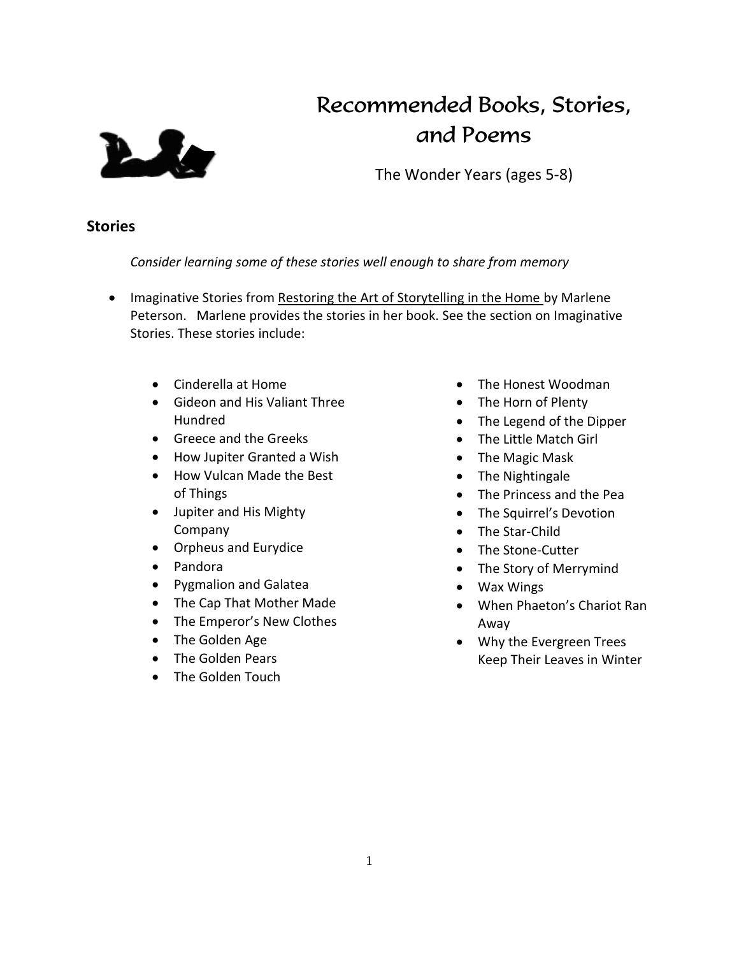

# Recommended Books, Stories, and Poems

The Wonder Years (ages 5-8)

## **Stories**

*Consider learning some of these stories well enough to share from memory*

- Imaginative Stories from Restoring the Art of Storytelling in the Home by Marlene Peterson. Marlene provides the stories in her book. See the section on Imaginative Stories. These stories include:
	- Cinderella at Home
	- Gideon and His Valiant Three Hundred
	- **Greece and the Greeks**
	- How Jupiter Granted a Wish
	- How Vulcan Made the Best of Things
	- Jupiter and His Mighty Company
	- Orpheus and Eurydice
	- Pandora
	- Pygmalion and Galatea
	- The Cap That Mother Made
	- The Emperor's New Clothes
	- The Golden Age
	- The Golden Pears
	- The Golden Touch
- The Honest Woodman
- The Horn of Plenty
- The Legend of the Dipper
- The Little Match Girl
- The Magic Mask
- The Nightingale
- The Princess and the Pea
- The Squirrel's Devotion
- The Star-Child
- The Stone-Cutter
- The Story of Merrymind
- Wax Wings
- When Phaeton's Chariot Ran Away
- Why the Evergreen Trees Keep Their Leaves in Winter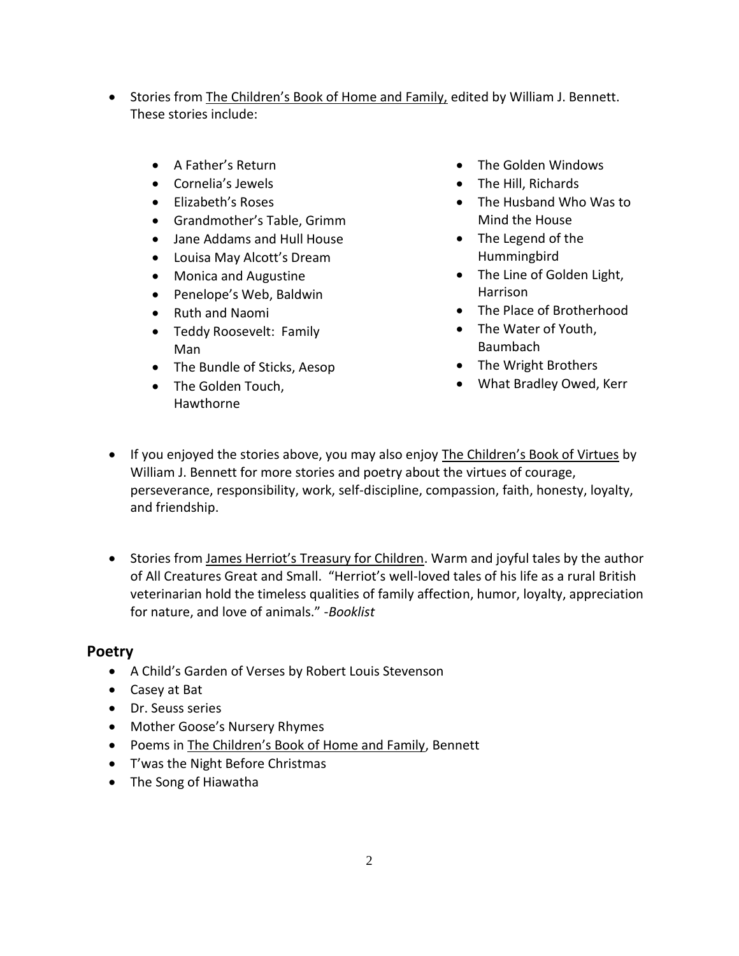- Stories from The Children's Book of Home and Family, edited by William J. Bennett. These stories include:
	- A Father's Return
	- Cornelia's Jewels
	- Elizabeth's Roses
	- Grandmother's Table, Grimm
	- Jane Addams and Hull House
	- Louisa May Alcott's Dream
	- Monica and Augustine
	- Penelope's Web, Baldwin
	- Ruth and Naomi
	- Teddy Roosevelt: Family Man
	- The Bundle of Sticks, Aesop
	- The Golden Touch, Hawthorne
- The Golden Windows
- The Hill, Richards
- The Husband Who Was to Mind the House
- The Legend of the Hummingbird
- The Line of Golden Light, Harrison
- The Place of Brotherhood
- The Water of Youth, Baumbach
- The Wright Brothers
- What Bradley Owed, Kerr
- If you enjoyed the stories above, you may also enjoy The Children's Book of Virtues by William J. Bennett for more stories and poetry about the virtues of courage, perseverance, responsibility, work, self-discipline, compassion, faith, honesty, loyalty, and friendship.
- Stories from James Herriot's Treasury for Children. Warm and joyful tales by the author of All Creatures Great and Small. "Herriot's well-loved tales of his life as a rural British veterinarian hold the timeless qualities of family affection, humor, loyalty, appreciation for nature, and love of animals." -*Booklist*

#### **Poetry**

- A Child's Garden of Verses by Robert Louis Stevenson
- Casey at Bat
- Dr. Seuss series
- Mother Goose's Nursery Rhymes
- Poems in The Children's Book of Home and Family, Bennett
- T'was the Night Before Christmas
- The Song of Hiawatha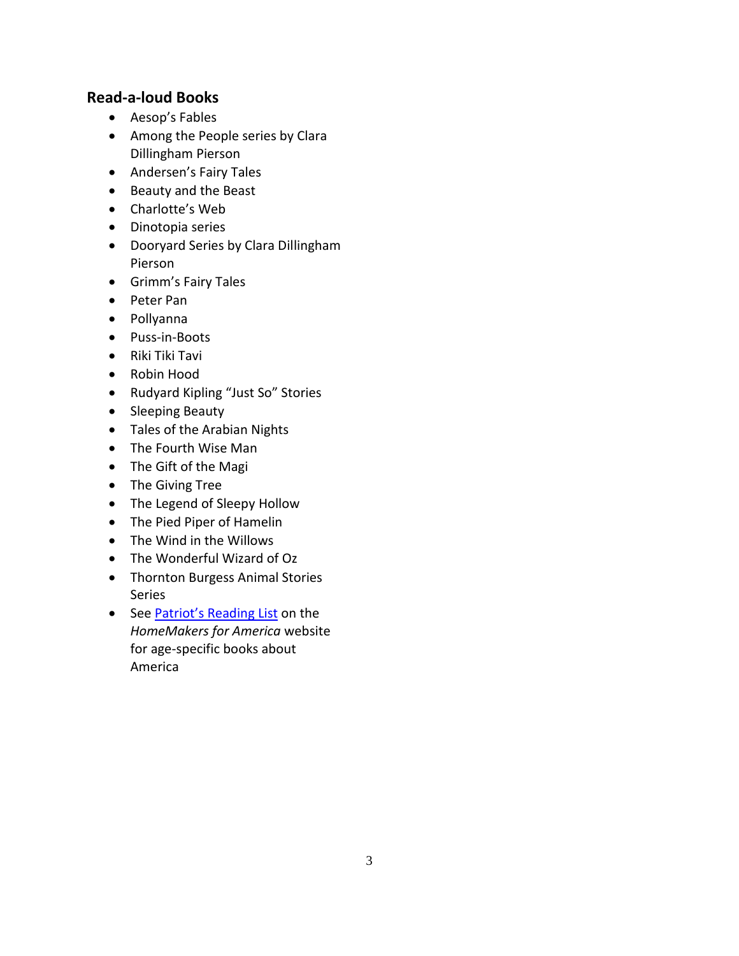## **Read-a-loud Books**

- Aesop's Fables
- Among the People series by Clara Dillingham Pierson
- Andersen's Fairy Tales
- Beauty and the Beast
- Charlotte's Web
- Dinotopia series
- Dooryard Series by Clara Dillingham Pierson
- Grimm's Fairy Tales
- Peter Pan
- Pollyanna
- Puss-in-Boots
- Riki Tiki Tavi
- Robin Hood
- Rudyard Kipling "Just So" Stories
- Sleeping Beauty
- Tales of the Arabian Nights
- The Fourth Wise Man
- The Gift of the Magi
- The Giving Tree
- The Legend of Sleepy Hollow
- The Pied Piper of Hamelin
- The Wind in the Willows
- The Wonderful Wizard of Oz
- Thornton Burgess Animal Stories Series
- See [Patriot's Reading List](https://app.box.com/s/q4goyqc8s3eumh6lwbxj) on the *HomeMakers for America* website for age-specific books about America